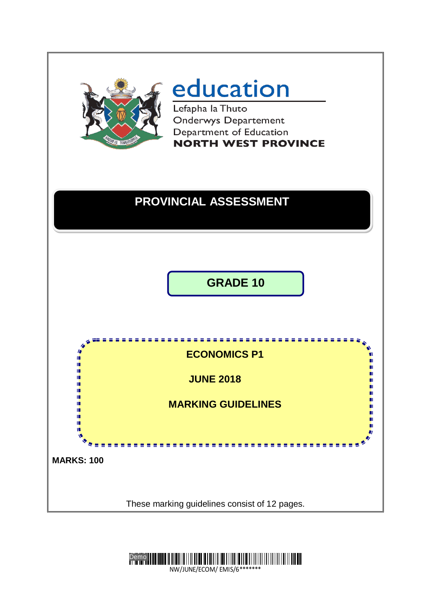

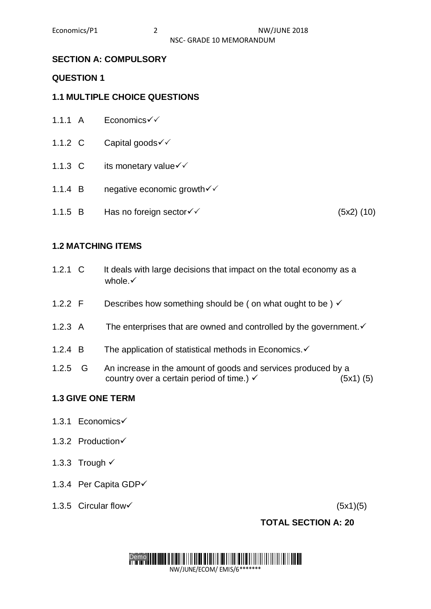# **SECTION A: COMPULSORY**

### **QUESTION 1**

# **1.1 MULTIPLE CHOICE QUESTIONS**

- 1.1.1 A  $F$ conomics $\checkmark$
- 1.1.2 C Capital goods <del>V</del>
- 1.1.3 C its monetary value  $\checkmark$
- 1.1.4 B negative economic growth  $\checkmark$
- 1.1.5 B Has no foreign sector  $\checkmark$  (5x2) (10)

# **1.2 MATCHING ITEMS**

- 1.2.1 C It deals with large decisions that impact on the total economy as a whole. $\checkmark$
- 1.2.2 F Describes how something should be (on what ought to be)  $\checkmark$
- 1.2.3 A The enterprises that are owned and controlled by the government.  $\checkmark$
- 1.2.4 B The application of statistical methods in Economics. $\checkmark$
- 1.2.5 G An increase in the amount of goods and services produced by a country over a certain period of time.)  $\checkmark$  (5x1) (5)

# **1.3 GIVE ONE TERM**

- 1.3.1 Economics
- 1.3.2 Production√
- 1.3.3 Trough  $\checkmark$
- 1.3.4 Per Capita GDP
- 1.3.5 Circular flow  $(5x1)(5)$

# **TOTAL SECTION A: 20**

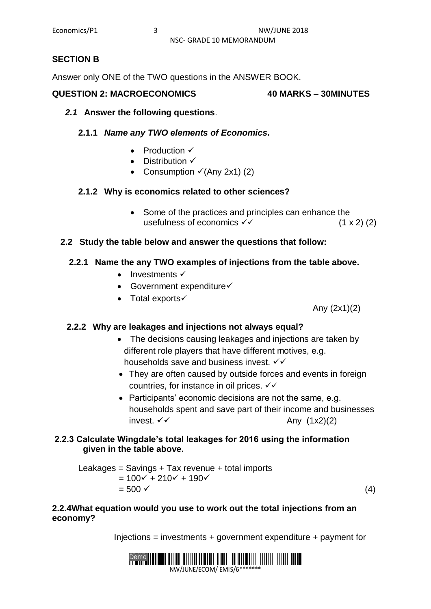### **SECTION B**

Answer only ONE of the TWO questions in the ANSWER BOOK.

#### **QUESTION 2: MACROECONOMICS 40 MARKS – 30MINUTES**

#### *2.1* **Answer the following questions**.

#### **2.1.1** *Name any TWO elements of Economics.*

- **Production √**
- Distribution  $\checkmark$
- Consumption  $\checkmark$  (Any 2x1) (2)

#### **2.1.2 Why is economics related to other sciences?**

• Some of the practices and principles can enhance the usefulness of economics  $\checkmark$  (1 x 2) (2)

#### **2.2 Study the table below and answer the questions that follow:**

### **2.2.1 Name the any TWO examples of injections from the table above.**

- $\bullet$  Investments  $\checkmark$
- $\bullet$  Government expenditure $\checkmark$
- Total exports $\checkmark$

Any (2x1)(2)

#### **2.2.2 Why are leakages and injections not always equal?**

- The decisions causing leakages and injections are taken by different role players that have different motives, e.g. households save and business invest.  $\checkmark\checkmark$
- They are often caused by outside forces and events in foreign countries, for instance in oil prices.
- Participants' economic decisions are not the same, e.g. households spent and save part of their income and businesses invest.  $\checkmark\checkmark$  Any (1x2)(2)

### **2.2.3 Calculate Wingdale's total leakages for 2016 using the information given in the table above.**

Leakages = Savings + Tax revenue + total imports  $= 100 \times + 210 \times + 190 \times$  $= 500 \checkmark$  (4)

#### **2.2.4What equation would you use to work out the total injections from an economy?**

 $Injections = investments + government expenditure + payment for$ 

#### **Demo III OO III OO IIII OO IIII DAA BIDI DAA'U DAA'U DAA'U DAA'U DAA'U DAA'U DAA'U DAA'U DAA'U DAA'U DAA'U DA** NW/JUNE/ECOM/ EMIS/6\*\*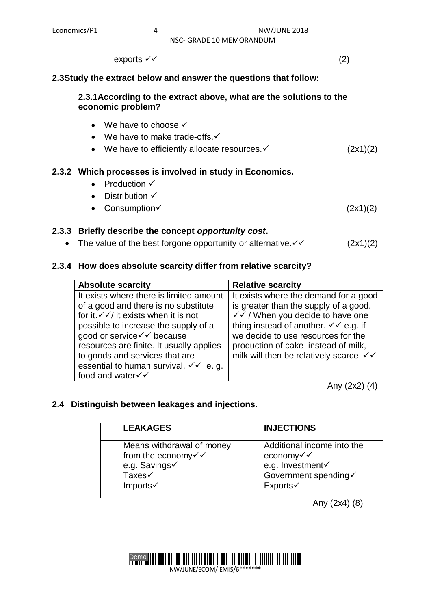NSC- GRADE 10 MEMORANDUM

 $\mathsf{exports} \ \checkmark \ \checkmark$  (2)

#### **2.3Study the extract below and answer the questions that follow:**

#### **2.3.1According to the extract above, what are the solutions to the economic problem?**

- $\bullet$  We have to choose. $\checkmark$
- $\bullet$  We have to make trade-offs. $\checkmark$
- We have to efficiently allocate resources.  $\checkmark$  (2x1)(2)

# **2.3.2 Which processes is involved in study in Economics.**

- Production  $\checkmark$
- $\bullet$  Distribution  $\checkmark$
- Consumption  $(2x1)(2)$

### **2.3.3 Briefly describe the concept** *opportunity cost***.**

• The value of the best forgone opportunity or alternative.  $\checkmark$  (2x1)(2)

### **2.3.4 How does absolute scarcity differ from relative scarcity?**

| <b>Absolute scarcity</b>                                                                                                                                                                                                                                                                                                                            | <b>Relative scarcity</b>                                                                                                                                                                                                                                                                                    |
|-----------------------------------------------------------------------------------------------------------------------------------------------------------------------------------------------------------------------------------------------------------------------------------------------------------------------------------------------------|-------------------------------------------------------------------------------------------------------------------------------------------------------------------------------------------------------------------------------------------------------------------------------------------------------------|
| It exists where there is limited amount<br>of a good and there is no substitute<br>for it. $\checkmark$ / it exists when it is not<br>possible to increase the supply of a<br>good or service√ v because<br>resources are finite. It usually applies<br>to goods and services that are<br>essential to human survival, $\checkmark \checkmark$ e.g. | It exists where the demand for a good<br>is greater than the supply of a good.<br>√ ⁄ / When you decide to have one<br>thing instead of another. $\checkmark\circ$ e.g. if<br>we decide to use resources for the<br>production of cake instead of milk,<br>milk will then be relatively scarce $\checkmark$ |
| food and water <del>V</del>                                                                                                                                                                                                                                                                                                                         |                                                                                                                                                                                                                                                                                                             |

Any (2x2) (4)

# **2.4 Distinguish between leakages and injections.**

|                                                                                                                                                                                                     | <b>INJECTIONS</b> |
|-----------------------------------------------------------------------------------------------------------------------------------------------------------------------------------------------------|-------------------|
| Means withdrawal of money<br>Additional income into the<br>from the economy $\checkmark$<br>economy√√<br>e.g. Savings√<br>e.g. Investment<br>Taxes√<br>Government spending√<br>Exports√<br>Imports√ |                   |

Any (2x4) (8)

# Demo NW/JUNE/ECOM/ EMIS/6\*\*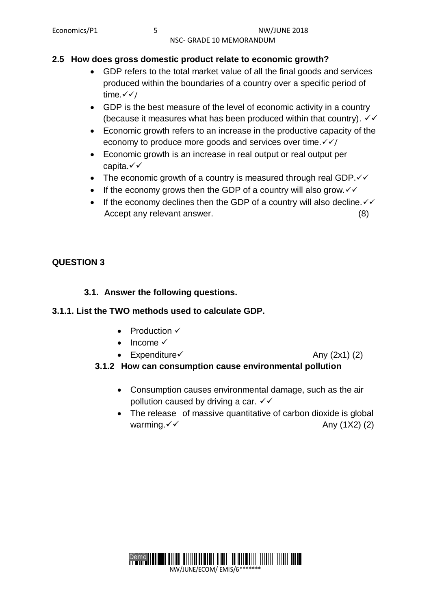# **2.5 How does gross domestic product relate to economic growth?**

- GDP refers to the total market value of all the final goods and services produced within the boundaries of a country over a specific period of time. $\checkmark\checkmark$
- GDP is the best measure of the level of economic activity in a country (because it measures what has been produced within that country).  $\checkmark\checkmark$
- Economic growth refers to an increase in the productive capacity of the economy to produce more goods and services over time. $\sqrt{\sqrt{}}$
- Economic growth is an increase in real output or real output per capita.
- The economic growth of a country is measured through real GDP. $\checkmark\checkmark$
- If the economy grows then the GDP of a country will also grow. $\checkmark$
- If the economy declines then the GDP of a country will also decline.  $\checkmark\checkmark$ Accept any relevant answer. (8)

# **QUESTION 3**

# **3.1. Answer the following questions.**

#### **3.1.1. List the TWO methods used to calculate GDP.**

- $\bullet$  Production  $\checkmark$
- $\bullet$  Income  $\checkmark$
- Expenditure  $\checkmark$  Any (2x1) (2)

- **3.1.2 How can consumption cause environmental pollution**
	- Consumption causes environmental damage, such as the air pollution caused by driving a car.  $\checkmark\checkmark$
	- The release of massive quantitative of carbon dioxide is global warming.  $\checkmark\checkmark$  Any (1X2) (2)

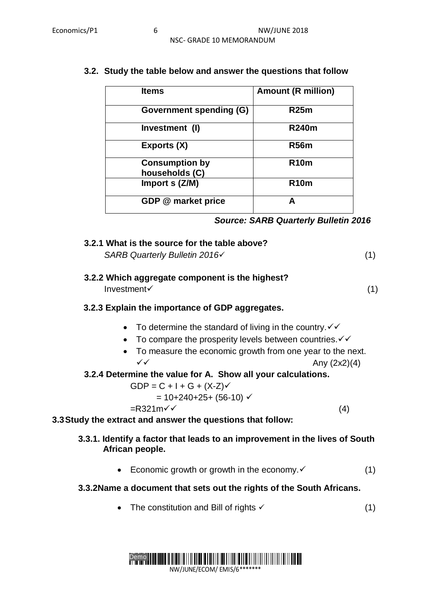| <b>Items</b>                            | <b>Amount (R million)</b> |
|-----------------------------------------|---------------------------|
| <b>Government spending (G)</b>          | <b>R25m</b>               |
| Investment (I)                          | <b>R240m</b>              |
| Exports (X)                             | <b>R56m</b>               |
| <b>Consumption by</b><br>households (C) | <b>R10m</b>               |
| Import s (Z/M)                          | <b>R10m</b>               |
| GDP @ market price                      | А                         |

### **3.2. Study the table below and answer the questions that follow**

# **3.2.1 What is the source for the table above?**

*SARB Quarterly Bulletin 2016* (1)

#### **3.2.2 Which aggregate component is the highest?**  $Investment \checkmark$  (1)

# **3.2.3 Explain the importance of GDP aggregates.**

- To determine the standard of living in the country.  $\checkmark\checkmark$
- To compare the prosperity levels between countries. $\checkmark\checkmark$
- To measure the economic growth from one year to the next.  $\checkmark$  Any (2x2)(4)

# **3.2.4 Determine the value for A. Show all your calculations.**

$$
GDP = C + I + G + (X-Z)\checkmark
$$

$$
= 10+240+25+ (56-10) \checkmark
$$

 $=R321m\check{v}$  (4)

**3.3Study the extract and answer the questions that follow:**

# **3.3.1. Identify a factor that leads to an improvement in the lives of South African people.**

Economic growth or growth in the economy.  $\checkmark$  (1)

# **3.3.2Name a document that sets out the rights of the South Africans.**

• The constitution and Bill of rights  $\checkmark$  (1)

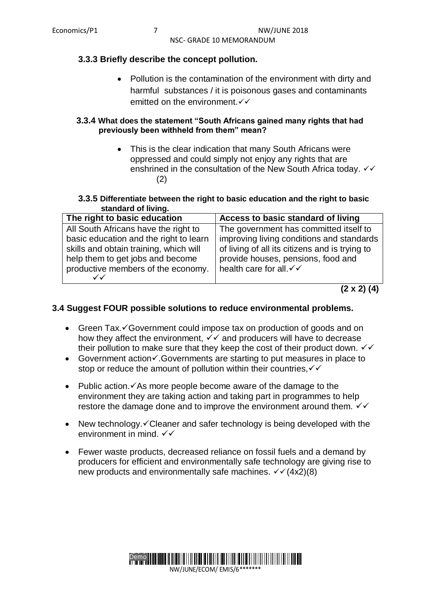#### **3.3.3 Briefly describe the concept pollution.**

 Pollution is the contamination of the environment with dirty and harmful substances / it is poisonous gases and contaminants emitted on the environment  $\checkmark\checkmark$ 

#### **3.3.4 What does the statement "South Africans gained many rights that had previously been withheld from them" mean?**

 This is the clear indication that many South Africans were oppressed and could simply not enjoy any rights that are enshrined in the consultation of the New South Africa today.  $\checkmark\checkmark$ (2)

#### **3.3.5 Differentiate between the right to basic education and the right to basic standard of living.**

| The right to basic education           | Access to basic standard of living             |
|----------------------------------------|------------------------------------------------|
| All South Africans have the right to   | The government has committed itself to         |
| basic education and the right to learn | improving living conditions and standards      |
| skills and obtain training, which will | of living of all its citizens and is trying to |
| help them to get jobs and become       | provide houses, pensions, food and             |
| productive members of the economy.     | health care for all. V V                       |

```
(2 x 2) (4)
```
#### **3.4 Suggest FOUR possible solutions to reduce environmental problems.**

- Green Tax. Government could impose tax on production of goods and on how they affect the environment,  $\checkmark\checkmark$  and producers will have to decrease their pollution to make sure that they keep the cost of their product down.  $\checkmark\checkmark$
- Government action $\checkmark$ . Governments are starting to put measures in place to stop or reduce the amount of pollution within their countries,  $\checkmark\checkmark$
- Public action. $\checkmark$  As more people become aware of the damage to the environment they are taking action and taking part in programmes to help restore the damage done and to improve the environment around them.  $\checkmark\checkmark$
- New technology.  $\checkmark$  Cleaner and safer technology is being developed with the environment in mind.  $\checkmark\checkmark$
- Fewer waste products, decreased reliance on fossil fuels and a demand by producers for efficient and environmentally safe technology are giving rise to new products and environmentally safe machines.  $\sqrt{(4x^2)(8)}$

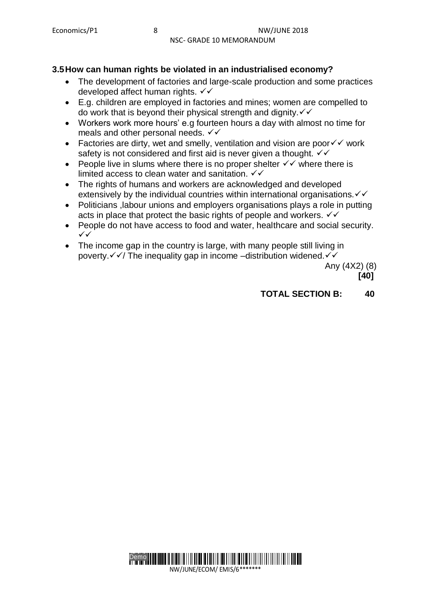### **3.5How can human rights be violated in an industrialised economy?**

- The development of factories and large-scale production and some practices developed affect human rights.  $∨$
- E.g. children are employed in factories and mines; women are compelled to do work that is beyond their physical strength and dignity.  $\checkmark\checkmark$
- Workers work more hours' e.g fourteen hours a day with almost no time for meals and other personal needs.  $\checkmark\checkmark$
- Factories are dirty, wet and smelly, ventilation and vision are poor  $\checkmark\checkmark$  work safety is not considered and first aid is never given a thought.  $\checkmark\checkmark$
- People live in slums where there is no proper shelter  $\checkmark\checkmark$  where there is limited access to clean water and sanitation.  $\checkmark\checkmark$
- The rights of humans and workers are acknowledged and developed extensively by the individual countries within international organisations.  $\checkmark\checkmark$
- Politicians ,labour unions and employers organisations plays a role in putting acts in place that protect the basic rights of people and workers.  $\checkmark\checkmark$
- People do not have access to food and water, healthcare and social security.  $\checkmark$
- The income gap in the country is large, with many people still living in poverty. $\sqrt{\sqrt{}}$  The inequality gap in income –distribution widened. $\sqrt{\sqrt{}}$

 Any (4X2) (8)  **[40]**

**TOTAL SECTION B: 40**

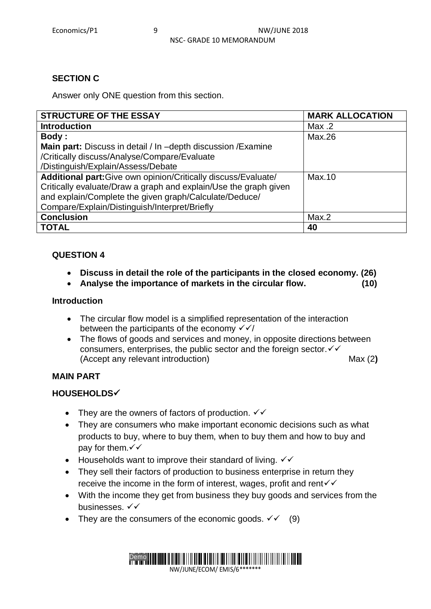# **SECTION C**

Answer only ONE question from this section.

| <b>STRUCTURE OF THE ESSAY</b>                                    | <b>MARK ALLOCATION</b> |
|------------------------------------------------------------------|------------------------|
| <b>Introduction</b>                                              | Max.2                  |
| <b>Body:</b>                                                     | Max.26                 |
| Main part: Discuss in detail / In -depth discussion / Examine    |                        |
| /Critically discuss/Analyse/Compare/Evaluate                     |                        |
| /Distinguish/Explain/Assess/Debate                               |                        |
| Additional part: Give own opinion/Critically discuss/Evaluate/   | Max.10                 |
| Critically evaluate/Draw a graph and explain/Use the graph given |                        |
| and explain/Complete the given graph/Calculate/Deduce/           |                        |
| Compare/Explain/Distinguish/Interpret/Briefly                    |                        |
| <b>Conclusion</b>                                                | Max.2                  |
| <b>TOTAL</b>                                                     | 40                     |

### **QUESTION 4**

- **Discuss in detail the role of the participants in the closed economy. (26)**
- **Analyse the importance of markets in the circular flow. (10)**

#### **Introduction**

- The circular flow model is a simplified representation of the interaction between the participants of the economy  $\sqrt{\sqrt{}}$
- The flows of goods and services and money, in opposite directions between consumers, enterprises, the public sector and the foreign sector. (Accept any relevant introduction) Max (2**)**

# **MAIN PART**

# **HOUSEHOLDS**

- They are the owners of factors of production.  $\checkmark\checkmark$
- They are consumers who make important economic decisions such as what products to buy, where to buy them, when to buy them and how to buy and pay for them. $\checkmark\checkmark$
- Households want to improve their standard of living.  $\checkmark\checkmark$
- They sell their factors of production to business enterprise in return they receive the income in the form of interest, wages, profit and rent  $\checkmark\checkmark$
- With the income they get from business they buy goods and services from the businesses. √√
- They are the consumers of the economic goods.  $\checkmark$  (9)

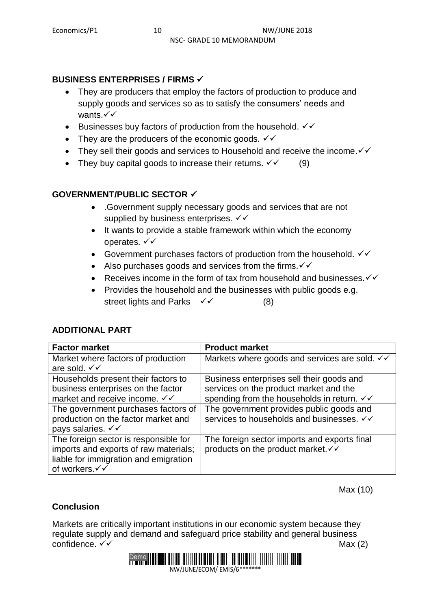# **BUSINESS ENTERPRISES / FIRMS**

- They are producers that employ the factors of production to produce and supply goods and services so as to satisfy the consumers' needs and wants. $\checkmark\checkmark$
- Eusinesses buy factors of production from the household.  $\checkmark\checkmark$
- They are the producers of the economic goods.  $\checkmark\checkmark$
- They sell their goods and services to Household and receive the income.  $\checkmark\checkmark$
- They buy capital goods to increase their returns.  $\checkmark$  (9)

# **GOVERNMENT/PUBLIC SECTOR**

- .Government supply necessary goods and services that are not supplied by business enterprises.  $\checkmark\checkmark$
- It wants to provide a stable framework within which the economy operates. √ √
- Government purchases factors of production from the household.  $\checkmark\checkmark$
- Also purchases goods and services from the firms.  $\checkmark\checkmark$
- Receives income in the form of tax from household and businesses.  $\checkmark\checkmark$
- Provides the household and the businesses with public goods e.g. street lights and Parks  $\checkmark$  (8)

# **ADDITIONAL PART**

| <b>Factor market</b>                  | <b>Product market</b>                                             |
|---------------------------------------|-------------------------------------------------------------------|
| Market where factors of production    | Markets where goods and services are sold. $\checkmark\checkmark$ |
| are sold. √√                          |                                                                   |
| Households present their factors to   | Business enterprises sell their goods and                         |
| business enterprises on the factor    | services on the product market and the                            |
| market and receive income. √√         | spending from the households in return. √√                        |
| The government purchases factors of   | The government provides public goods and                          |
| production on the factor market and   | services to households and businesses. √√                         |
| pays salaries. $\checkmark\checkmark$ |                                                                   |
| The foreign sector is responsible for | The foreign sector imports and exports final                      |
| imports and exports of raw materials; | products on the product market. V V                               |
| liable for immigration and emigration |                                                                   |
| of workers.√√                         |                                                                   |

Max (10)

# **Conclusion**

Markets are critically important institutions in our economic system because they regulate supply and demand and safeguard price stability and general business confidence.  $\checkmark\checkmark$  Max (2)

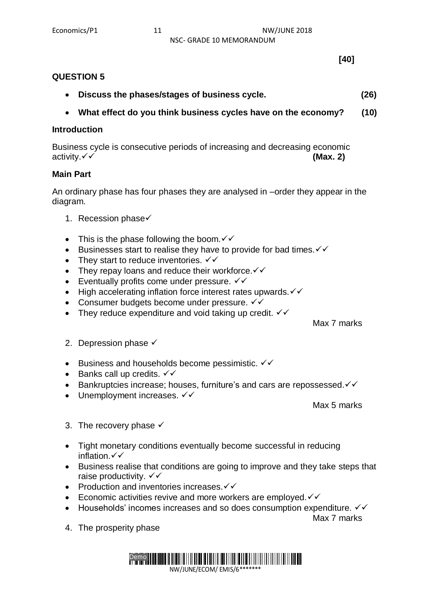### **QUESTION 5**

- **Discuss the phases/stages of business cycle. (26)**
- **What effect do you think business cycles have on the economy? (10)**

#### **Introduction**

Business cycle is consecutive periods of increasing and decreasing economic activity. **✓ ✓** (Max. 2)

### **Main Part**

An ordinary phase has four phases they are analysed in –order they appear in the diagram.

- 1. Recession phase $\checkmark$
- This is the phase following the boom.  $\checkmark\checkmark$
- Eusinesses start to realise they have to provide for bad times.  $\checkmark\checkmark$
- They start to reduce inventories.  $\checkmark\checkmark$
- They repay loans and reduce their workforce. $\checkmark\checkmark$
- Eventually profits come under pressure.  $\checkmark\checkmark$
- $\bullet$  High accelerating inflation force interest rates upwards.  $\checkmark\checkmark$
- Consumer budgets become under pressure.  $\checkmark\checkmark$
- They reduce expenditure and void taking up credit.  $\checkmark\checkmark$

Max 7 marks

- 2. Depression phase  $\checkmark$
- Eusiness and households become pessimistic.  $\checkmark\checkmark$
- Banks call up credits.  $\checkmark\checkmark$
- **Bankruptcies increase; houses, furniture's and cars are repossessed.** $\checkmark$
- Unemployment increases.  $\checkmark\checkmark$

Max 5 marks

- 3. The recovery phase  $\checkmark$
- Tight monetary conditions eventually become successful in reducing inflation  $\checkmark\checkmark$
- Business realise that conditions are going to improve and they take steps that raise productivity.  $\checkmark\checkmark$
- Production and inventories increases. $\checkmark\checkmark$
- Economic activities revive and more workers are employed. $\checkmark\checkmark$
- $\bullet$  Households' incomes increases and so does consumption expenditure.  $\checkmark\checkmark$

Max 7 marks

4. The prosperity phase